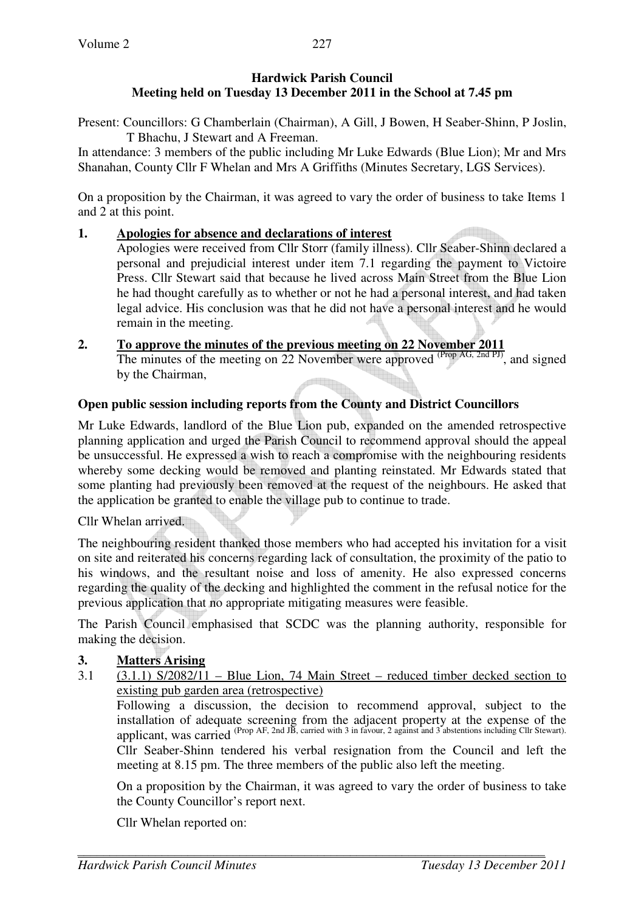### **Hardwick Parish Council Meeting held on Tuesday 13 December 2011 in the School at 7.45 pm**

Present: Councillors: G Chamberlain (Chairman), A Gill, J Bowen, H Seaber-Shinn, P Joslin, T Bhachu, J Stewart and A Freeman.

In attendance: 3 members of the public including Mr Luke Edwards (Blue Lion); Mr and Mrs Shanahan, County Cllr F Whelan and Mrs A Griffiths (Minutes Secretary, LGS Services).

On a proposition by the Chairman, it was agreed to vary the order of business to take Items 1 and 2 at this point.

## **1. Apologies for absence and declarations of interest**

Apologies were received from Cllr Storr (family illness). Cllr Seaber-Shinn declared a personal and prejudicial interest under item 7.1 regarding the payment to Victoire Press. Cllr Stewart said that because he lived across Main Street from the Blue Lion he had thought carefully as to whether or not he had a personal interest, and had taken legal advice. His conclusion was that he did not have a personal interest and he would remain in the meeting.

# **2. To approve the minutes of the previous meeting on 22 November 2011**

The minutes of the meeting on 22 November were approved  $\overline{\text{Prop }AG}$ ,  $\overline{\text{2nd }PD}$ , and signed by the Chairman,

# **Open public session including reports from the County and District Councillors**

Mr Luke Edwards, landlord of the Blue Lion pub, expanded on the amended retrospective planning application and urged the Parish Council to recommend approval should the appeal be unsuccessful. He expressed a wish to reach a compromise with the neighbouring residents whereby some decking would be removed and planting reinstated. Mr Edwards stated that some planting had previously been removed at the request of the neighbours. He asked that the application be granted to enable the village pub to continue to trade.

Cllr Whelan arrived.

The neighbouring resident thanked those members who had accepted his invitation for a visit on site and reiterated his concerns regarding lack of consultation, the proximity of the patio to his windows, and the resultant noise and loss of amenity. He also expressed concerns regarding the quality of the decking and highlighted the comment in the refusal notice for the previous application that no appropriate mitigating measures were feasible.

The Parish Council emphasised that SCDC was the planning authority, responsible for making the decision.

# **3. Matters Arising**

3.1 (3.1.1) S/2082/11 – Blue Lion, 74 Main Street – reduced timber decked section to existing pub garden area (retrospective)

 Following a discussion, the decision to recommend approval, subject to the installation of adequate screening from the adjacent property at the expense of the applicant, was carried (Prop AF, 2nd JB, carried with 3 in favour, 2 against and 3 abstentions including Cllr Stewart).

Cllr Seaber-Shinn tendered his verbal resignation from the Council and left the meeting at 8.15 pm. The three members of the public also left the meeting.

 On a proposition by the Chairman, it was agreed to vary the order of business to take the County Councillor's report next.

Cllr Whelan reported on: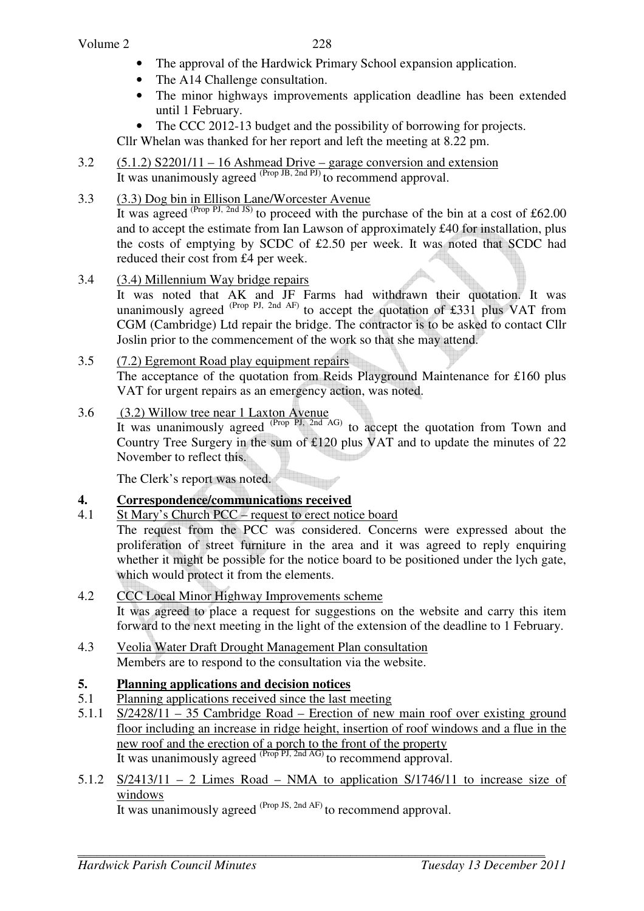- The approval of the Hardwick Primary School expansion application.
- The A14 Challenge consultation.
- The minor highways improvements application deadline has been extended until 1 February.
- The CCC 2012-13 budget and the possibility of borrowing for projects.

Cllr Whelan was thanked for her report and left the meeting at 8.22 pm.

3.2  $(5.1.2)$  S2201/11 – 16 Ashmead Drive – garage conversion and extension It was unanimously agreed <sup>(Prop JB, 2nd PJ)</sup> to recommend approval.

### 3.3 (3.3) Dog bin in Ellison Lane/Worcester Avenue

It was agreed  $(Prop \, PI, 2nd \, JS)$  to proceed with the purchase of the bin at a cost of £62.00 and to accept the estimate from Ian Lawson of approximately £40 for installation, plus the costs of emptying by SCDC of £2.50 per week. It was noted that SCDC had reduced their cost from £4 per week.

3.4 (3.4) Millennium Way bridge repairs

It was noted that AK and JF Farms had withdrawn their quotation. It was unanimously agreed  $^{(Prop\ Pl, 2nd\ AF)}$  to accept the quotation of £331 plus VAT from CGM (Cambridge) Ltd repair the bridge. The contractor is to be asked to contact Cllr Joslin prior to the commencement of the work so that she may attend.

3.5 (7.2) Egremont Road play equipment repairs The acceptance of the quotation from Reids Playground Maintenance for £160 plus VAT for urgent repairs as an emergency action, was noted.

#### 3.6 (3.2) Willow tree near 1 Laxton Avenue

It was unanimously agreed  $(Prop \t{P1, 2nd \t{AG})}$  to accept the quotation from Town and Country Tree Surgery in the sum of £120 plus VAT and to update the minutes of 22 November to reflect this.

The Clerk's report was noted.

#### **4. Correspondence/communications received**

4.1 St Mary's Church PCC – request to erect notice board

 The request from the PCC was considered. Concerns were expressed about the proliferation of street furniture in the area and it was agreed to reply enquiring whether it might be possible for the notice board to be positioned under the lych gate, which would protect it from the elements.

- 4.2 CCC Local Minor Highway Improvements scheme It was agreed to place a request for suggestions on the website and carry this item forward to the next meeting in the light of the extension of the deadline to 1 February.
- 4.3 Veolia Water Draft Drought Management Plan consultation Members are to respond to the consultation via the website.

#### **5. Planning applications and decision notices**

- 5.1 Planning applications received since the last meeting
- 5.1.1 S/2428/11 35 Cambridge Road Erection of new main roof over existing ground floor including an increase in ridge height, insertion of roof windows and a flue in the new roof and the erection of a porch to the front of the property It was unanimously agreed <sup>(Prop PJ, 2nd AG)</sup> to recommend approval.
- 5.1.2  $S/2413/11 2$  Limes Road NMA to application  $S/1746/11$  to increase size of windows

It was unanimously agreed <sup>(Prop JS, 2nd AF)</sup> to recommend approval.